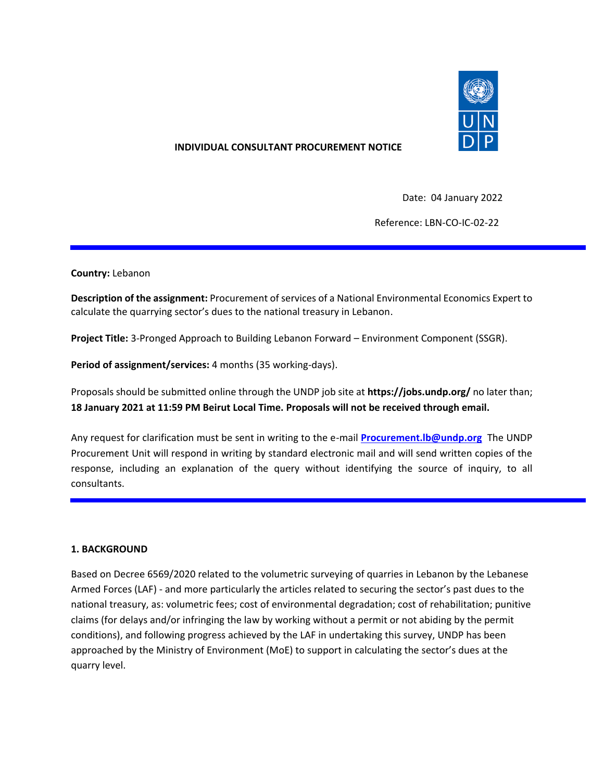

### **INDIVIDUAL CONSULTANT PROCUREMENT NOTICE**

Date: 04 January 2022

Reference: LBN-CO-IC-02-22

#### **Country:** Lebanon

**Description of the assignment:** Procurement of services of a National Environmental Economics Expert to calculate the quarrying sector's dues to the national treasury in Lebanon.

**Project Title:** 3-Pronged Approach to Building Lebanon Forward – Environment Component (SSGR).

**Period of assignment/services:** 4 months (35 working-days).

Proposals should be submitted online through the UNDP job site at **https://jobs.undp.org/** no later than; **18 January 2021 at 11:59 PM Beirut Local Time. Proposals will not be received through email.**

Any request for clarification must be sent in writing to the e-mail **[Procurement.lb@undp.org](mailto:Procurement.lb@undp.org)** The UNDP Procurement Unit will respond in writing by standard electronic mail and will send written copies of the response, including an explanation of the query without identifying the source of inquiry, to all consultants.

#### **1. BACKGROUND**

Based on Decree 6569/2020 related to the volumetric surveying of quarries in Lebanon by the Lebanese Armed Forces (LAF) - and more particularly the articles related to securing the sector's past dues to the national treasury, as: volumetric fees; cost of environmental degradation; cost of rehabilitation; punitive claims (for delays and/or infringing the law by working without a permit or not abiding by the permit conditions), and following progress achieved by the LAF in undertaking this survey, UNDP has been approached by the Ministry of Environment (MoE) to support in calculating the sector's dues at the quarry level.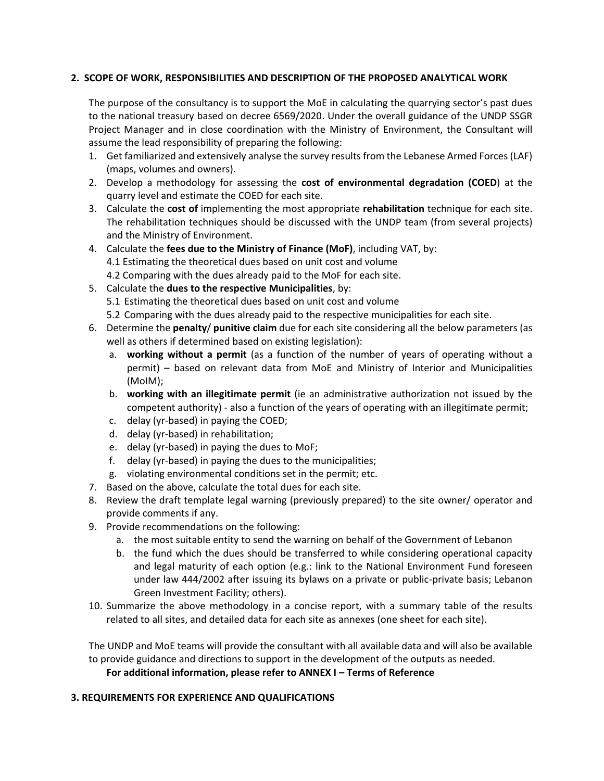#### **2. SCOPE OF WORK, RESPONSIBILITIES AND DESCRIPTION OF THE PROPOSED ANALYTICAL WORK**

The purpose of the consultancy is to support the MoE in calculating the quarrying sector's past dues to the national treasury based on decree 6569/2020. Under the overall guidance of the UNDP SSGR Project Manager and in close coordination with the Ministry of Environment, the Consultant will assume the lead responsibility of preparing the following:

- 1. Get familiarized and extensively analyse the survey results from the Lebanese Armed Forces (LAF) (maps, volumes and owners).
- 2. Develop a methodology for assessing the **cost of environmental degradation (COED**) at the quarry level and estimate the COED for each site.
- 3. Calculate the **cost of** implementing the most appropriate **rehabilitation** technique for each site. The rehabilitation techniques should be discussed with the UNDP team (from several projects) and the Ministry of Environment.
- 4. Calculate the **fees due to the Ministry of Finance (MoF)**, including VAT, by: 4.1 Estimating the theoretical dues based on unit cost and volume 4.2 Comparing with the dues already paid to the MoF for each site.
- 5. Calculate the **dues to the respective Municipalities**, by:
	- 5.1 Estimating the theoretical dues based on unit cost and volume
	- 5.2 Comparing with the dues already paid to the respective municipalities for each site.
- 6. Determine the **penalty**/ **punitive claim** due for each site considering all the below parameters (as well as others if determined based on existing legislation):
	- a. **working without a permit** (as a function of the number of years of operating without a permit) – based on relevant data from MoE and Ministry of Interior and Municipalities (MoIM);
	- b. **working with an illegitimate permit** (ie an administrative authorization not issued by the competent authority) - also a function of the years of operating with an illegitimate permit;
	- c. delay (yr-based) in paying the COED;
	- d. delay (yr-based) in rehabilitation;
	- e. delay (yr-based) in paying the dues to MoF;
	- f. delay (yr-based) in paying the dues to the municipalities;
	- g. violating environmental conditions set in the permit; etc.
- 7. Based on the above, calculate the total dues for each site.
- 8. Review the draft template legal warning (previously prepared) to the site owner/ operator and provide comments if any.
- 9. Provide recommendations on the following:
	- a. the most suitable entity to send the warning on behalf of the Government of Lebanon
	- b. the fund which the dues should be transferred to while considering operational capacity and legal maturity of each option (e.g.: link to the National Environment Fund foreseen under law 444/2002 after issuing its bylaws on a private or public-private basis; Lebanon Green Investment Facility; others).
- 10. Summarize the above methodology in a concise report, with a summary table of the results related to all sites, and detailed data for each site as annexes (one sheet for each site).

The UNDP and MoE teams will provide the consultant with all available data and will also be available to provide guidance and directions to support in the development of the outputs as needed.

**For additional information, please refer to ANNEX I – Terms of Reference** 

#### **3. REQUIREMENTS FOR EXPERIENCE AND QUALIFICATIONS**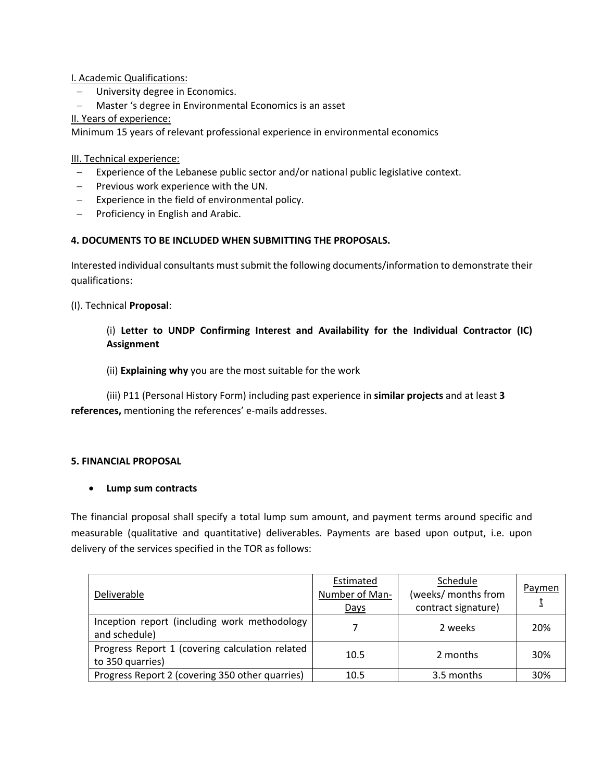I. Academic Qualifications:

- University degree in Economics.
- − Master 's degree in Environmental Economics is an asset
- II. Years of experience:

Minimum 15 years of relevant professional experience in environmental economics

III. Technical experience:

- − Experience of the Lebanese public sector and/or national public legislative context.
- − Previous work experience with the UN.
- − Experience in the field of environmental policy.
- − Proficiency in English and Arabic.

## **4. DOCUMENTS TO BE INCLUDED WHEN SUBMITTING THE PROPOSALS.**

Interested individual consultants must submit the following documents/information to demonstrate their qualifications:

(I). Technical **Proposal**:

# (i) **Letter to UNDP Confirming Interest and Availability for the Individual Contractor (IC) Assignment**

(ii) **Explaining why** you are the most suitable for the work

(iii) P11 (Personal History Form) including past experience in **similar projects** and at least **3 references,** mentioning the references' e-mails addresses.

#### **5. FINANCIAL PROPOSAL**

#### • **Lump sum contracts**

The financial proposal shall specify a total lump sum amount, and payment terms around specific and measurable (qualitative and quantitative) deliverables. Payments are based upon output, i.e. upon delivery of the services specified in the TOR as follows:

| Deliverable                                                         | Estimated<br>Number of Man-<br>Days | Schedule<br>(weeks/ months from<br>contract signature) | Paymen |
|---------------------------------------------------------------------|-------------------------------------|--------------------------------------------------------|--------|
| Inception report (including work methodology<br>and schedule)       |                                     | 2 weeks                                                | 20%    |
| Progress Report 1 (covering calculation related<br>to 350 quarries) | 10.5                                | 2 months                                               | 30%    |
| Progress Report 2 (covering 350 other quarries)                     | 10.5                                | 3.5 months                                             | 30%    |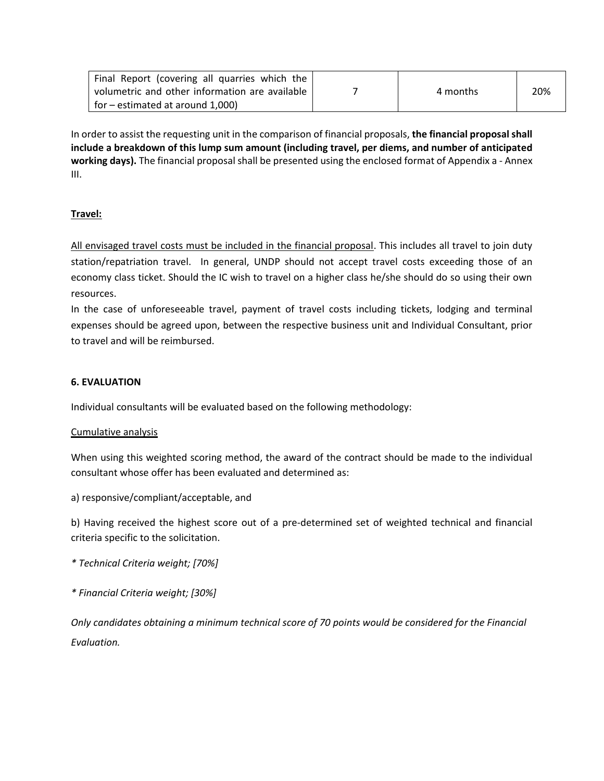| Final Report (covering all quarries which the  |          |     |
|------------------------------------------------|----------|-----|
| volumetric and other information are available | 4 months | 20% |
| $\vert$ for – estimated at around 1,000)       |          |     |

In order to assist the requesting unit in the comparison of financial proposals, **the financial proposal shall include a breakdown of this lump sum amount (including travel, per diems, and number of anticipated working days).** The financial proposal shall be presented using the enclosed format of Appendix a - Annex III.

## **Travel:**

All envisaged travel costs must be included in the financial proposal. This includes all travel to join duty station/repatriation travel. In general, UNDP should not accept travel costs exceeding those of an economy class ticket. Should the IC wish to travel on a higher class he/she should do so using their own resources.

In the case of unforeseeable travel, payment of travel costs including tickets, lodging and terminal expenses should be agreed upon, between the respective business unit and Individual Consultant, prior to travel and will be reimbursed.

#### **6. EVALUATION**

Individual consultants will be evaluated based on the following methodology:

#### Cumulative analysis

When using this weighted scoring method, the award of the contract should be made to the individual consultant whose offer has been evaluated and determined as:

a) responsive/compliant/acceptable, and

b) Having received the highest score out of a pre-determined set of weighted technical and financial criteria specific to the solicitation.

- *\* Technical Criteria weight; [70%]*
- *\* Financial Criteria weight; [30%]*

*Only candidates obtaining a minimum technical score of 70 points would be considered for the Financial Evaluation.*